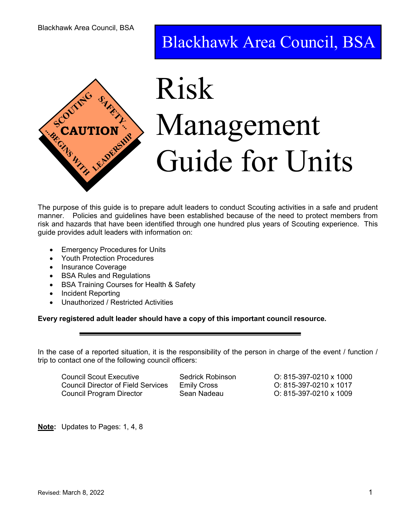# Blackhawk Area Council, BSA



# $\frac{1150}{100}$ CAUTION IVIAILASCI Risk **SCON TRAUTION** Management **The Second Suide for Units**

The purpose of this guide is to prepare adult leaders to conduct Scouting activities in a safe and prudent manner. Policies and guidelines have been established because of the need to protect members from risk and hazards that have been identified through one hundred plus years of Scouting experience. This guide provides adult leaders with information on:

- Emergency Procedures for Units
- Youth Protection Procedures
- Insurance Coverage
- BSA Rules and Regulations
- BSA Training Courses for Health & Safety
- Incident Reporting
- Unauthorized / Restricted Activities

#### Every registered adult leader should have a copy of this important council resource.

In the case of a reported situation, it is the responsibility of the person in charge of the event / function / trip to contact one of the following council officers:

 Council Scout Executive Sedrick Robinson O: 815-397-0210 x 1000 Council Director of Field Services Emily Cross O: 815-397-0210 x 1017 Council Program Director Sean Nadeau O: 815-397-0210 x 1009

Note: Updates to Pages: 1, 4, 8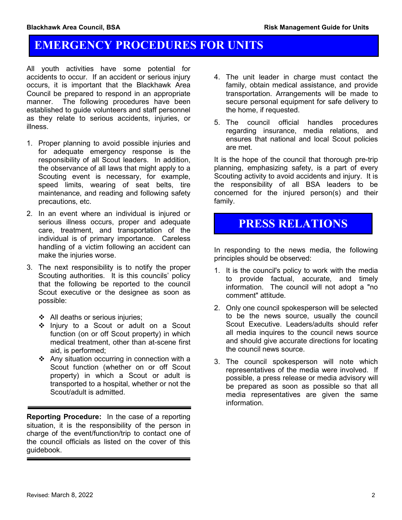# EMERGENCY PROCEDURES FOR UNITS

All youth activities have some potential for accidents to occur. If an accident or serious injury occurs, it is important that the Blackhawk Area Council be prepared to respond in an appropriate manner. The following procedures have been established to guide volunteers and staff personnel as they relate to serious accidents, injuries, or illness.

- 1. Proper planning to avoid possible injuries and for adequate emergency response is the responsibility of all Scout leaders. In addition, the observance of all laws that might apply to a Scouting event is necessary, for example, speed limits, wearing of seat belts, tire maintenance, and reading and following safety precautions, etc.
- 2. In an event where an individual is injured or serious illness occurs, proper and adequate care, treatment, and transportation of the individual is of primary importance. Careless handling of a victim following an accident can make the injuries worse.
- 3. The next responsibility is to notify the proper Scouting authorities. It is this councils' policy that the following be reported to the council Scout executive or the designee as soon as possible:
	- ❖ All deaths or serious injuries;
	- Injury to a Scout or adult on a Scout function (on or off Scout property) in which medical treatment, other than at-scene first aid, is performed;
	- Any situation occurring in connection with a Scout function (whether on or off Scout property) in which a Scout or adult is transported to a hospital, whether or not the Scout/adult is admitted.

Reporting Procedure: In the case of a reporting situation, it is the responsibility of the person in charge of the event/function/trip to contact one of the council officials as listed on the cover of this guidebook.

- 4. The unit leader in charge must contact the family, obtain medical assistance, and provide transportation. Arrangements will be made to secure personal equipment for safe delivery to the home, if requested.
- 5. The council official handles procedures regarding insurance, media relations, and ensures that national and local Scout policies are met.

It is the hope of the council that thorough pre-trip planning, emphasizing safety, is a part of every Scouting activity to avoid accidents and injury. It is the responsibility of all BSA leaders to be concerned for the injured person(s) and their family.

# PRESS RELATIONS

In responding to the news media, the following principles should be observed:

- 1. It is the council's policy to work with the media to provide factual, accurate, and timely information. The council will not adopt a "no comment" attitude.
- 2. Only one council spokesperson will be selected to be the news source, usually the council Scout Executive. Leaders/adults should refer all media inquires to the council news source and should give accurate directions for locating the council news source.
- 3. The council spokesperson will note which representatives of the media were involved. If possible, a press release or media advisory will be prepared as soon as possible so that all media representatives are given the same information.

Ī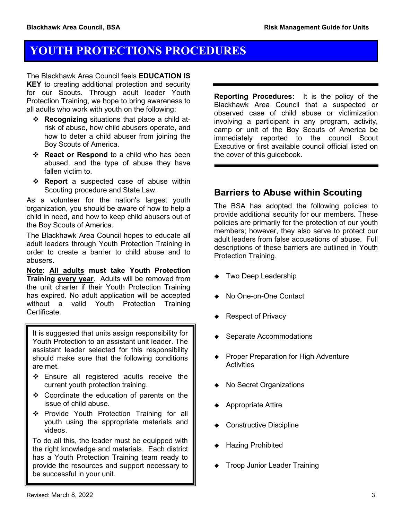# YOUTH PROTECTIONS PROCEDURES

The Blackhawk Area Council feels **EDUCATION IS KEY** to creating additional protection and security for our Scouts. Through adult leader Youth Protection Training, we hope to bring awareness to all adults who work with youth on the following:

- ❖ Recognizing situations that place a child atrisk of abuse, how child abusers operate, and how to deter a child abuser from joining the Boy Scouts of America.
- ❖ React or Respond to a child who has been abused, and the type of abuse they have fallen victim to.
- \* Report a suspected case of abuse within Scouting procedure and State Law.

As a volunteer for the nation's largest youth organization, you should be aware of how to help a child in need, and how to keep child abusers out of the Boy Scouts of America.

The Blackhawk Area Council hopes to educate all adult leaders through Youth Protection Training in order to create a barrier to child abuse and to abusers.

Note: All adults must take Youth Protection **Training every year.** Adults will be removed from the unit charter if their Youth Protection Training has expired. No adult application will be accepted without a valid Youth Protection Training Certificate.

It is suggested that units assign responsibility for Youth Protection to an assistant unit leader. The assistant leader selected for this responsibility should make sure that the following conditions are met.

- ❖ Ensure all registered adults receive the current youth protection training.
- Coordinate the education of parents on the issue of child abuse.
- ❖ Provide Youth Protection Training for all youth using the appropriate materials and videos.

To do all this, the leader must be equipped with the right knowledge and materials. Each district has a Youth Protection Training team ready to provide the resources and support necessary to be successful in your unit.

Reporting Procedures: It is the policy of the Blackhawk Area Council that a suspected or observed case of child abuse or victimization involving a participant in any program, activity, camp or unit of the Boy Scouts of America be immediately reported to the council Scout Executive or first available council official listed on the cover of this guidebook.

### Barriers to Abuse within Scouting

The BSA has adopted the following policies to provide additional security for our members. These policies are primarily for the protection of our youth members; however, they also serve to protect our adult leaders from false accusations of abuse. Full descriptions of these barriers are outlined in Youth Protection Training.

- ◆ Two Deep Leadership
- ◆ No One-on-One Contact
- ◆ Respect of Privacy
- ◆ Separate Accommodations
- ◆ Proper Preparation for High Adventure **Activities**
- ◆ No Secret Organizations
- Appropriate Attire
- ◆ Constructive Discipline
- ▶ Hazing Prohibited
- **Troop Junior Leader Training**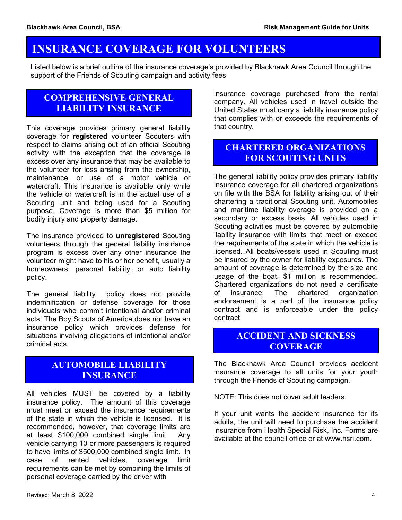## INSURANCE COVERAGE FOR VOLUNTEERS

Listed below is a brief outline of the insurance coverage's provided by Blackhawk Area Council through the support of the Friends of Scouting campaign and activity fees.

#### COMPREHENSIVE GENERAL LIABILITY INSURANCE

This coverage provides primary general liability coverage for registered volunteer Scouters with respect to claims arising out of an official Scouting activity with the exception that the coverage is excess over any insurance that may be available to the volunteer for loss arising from the ownership, maintenance, or use of a motor vehicle or watercraft. This insurance is available only while the vehicle or watercraft is in the actual use of a Scouting unit and being used for a Scouting purpose. Coverage is more than \$5 million for bodily injury and property damage.

The insurance provided to unregistered Scouting volunteers through the general liability insurance program is excess over any other insurance the volunteer might have to his or her benefit, usually a homeowners, personal liability, or auto liability policy.

The general liability policy does not provide indemnification or defense coverage for those individuals who commit intentional and/or criminal acts. The Boy Scouts of America does not have an insurance policy which provides defense for situations involving allegations of intentional and/or criminal acts.

#### AUTOMOBILE LIABILITY **INSURANCE**

All vehicles MUST be covered by a liability insurance policy. The amount of this coverage must meet or exceed the insurance requirements of the state in which the vehicle is licensed. It is recommended, however, that coverage limits are at least \$100,000 combined single limit. Any vehicle carrying 10 or more passengers is required to have limits of \$500,000 combined single limit. In case of rented vehicles, coverage limit requirements can be met by combining the limits of personal coverage carried by the driver with

insurance coverage purchased from the rental company. All vehicles used in travel outside the United States must carry a liability insurance policy that complies with or exceeds the requirements of that country.

### CHARTERED ORGANIZATIONS FOR SCOUTING UNITS

The general liability policy provides primary liability insurance coverage for all chartered organizations on file with the BSA for liability arising out of their chartering a traditional Scouting unit. Automobiles and maritime liability overage is provided on a secondary or excess basis. All vehicles used in Scouting activities must be covered by automobile liability insurance with limits that meet or exceed the requirements of the state in which the vehicle is licensed. All boats/vessels used in Scouting must be insured by the owner for liability exposures. The amount of coverage is determined by the size and usage of the boat. \$1 million is recommended. Chartered organizations do not need a certificate of insurance. The chartered organization endorsement is a part of the insurance policy contract and is enforceable under the policy contract.

#### ACCIDENT AND SICKNESS Insurance and the control of the control of the control of the control of the control of the control of the co<br>Insurance and the control of the control of the control of the control of the control of the control of the co **COVERAGE**

The Blackhawk Area Council provides accident insurance coverage to all units for your youth through the Friends of Scouting campaign.

NOTE: This does not cover adult leaders.

If your unit wants the accident insurance for its adults, the unit will need to purchase the accident insurance from Health Special Risk, Inc. Forms are available at the council office or at www.hsri.com.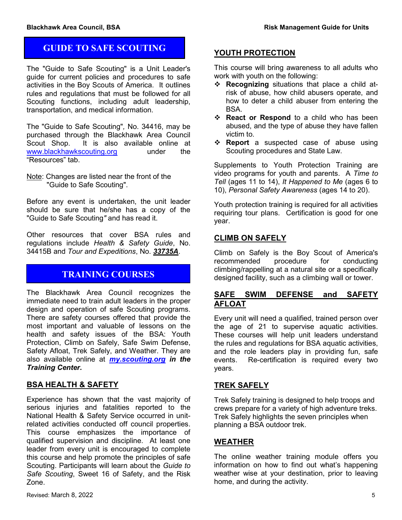### GUIDE TO SAFE SCOUTING

The "Guide to Safe Scouting" is a Unit Leader's guide for current policies and procedures to safe activities in the Boy Scouts of America. It outlines rules and regulations that must be followed for all Scouting functions, including adult leadership, transportation, and medical information.

The "Guide to Safe Scouting", No. 34416, may be purchased through the Blackhawk Area Council Scout Shop. It is also available online at www.blackhawkscouting.org under the "Resources" tab.

Note: Changes are listed near the front of the "Guide to Safe Scouting".

Before any event is undertaken, the unit leader should be sure that he/she has a copy of the "Guide to Safe Scouting" and has read it.

Other resources that cover BSA rules and regulations include Health & Safety Guide, No. 34415B and Tour and Expeditions, No. 33735A.

### TRAINING COURSES

The Blackhawk Area Council recognizes the immediate need to train adult leaders in the proper design and operation of safe Scouting programs. There are safety courses offered that provide the most important and valuable of lessons on the health and safety issues of the BSA: Youth Protection, Climb on Safely, Safe Swim Defense, Safety Afloat, Trek Safely, and Weather. They are also available online at *my.scouting.org in the* Training Center.

#### BSA HEALTH & SAFETY

Experience has shown that the vast majority of serious injuries and fatalities reported to the National Health & Safety Service occurred in unitrelated activities conducted off council properties. This course emphasizes the importance of qualified supervision and discipline. At least one leader from every unit is encouraged to complete this course and help promote the principles of safe Scouting. Participants will learn about the Guide to Safe Scouting, Sweet 16 of Safety, and the Risk Zone.

#### YOUTH PROTECTION

This course will bring awareness to all adults who work with youth on the following:

- Recognizing situations that place a child atrisk of abuse, how child abusers operate, and how to deter a child abuser from entering the BSA.
- **Extema Respond** to a child who has been abused, and the type of abuse they have fallen victim to.
- \* Report a suspected case of abuse using Scouting procedures and State Law.

Supplements to Youth Protection Training are video programs for youth and parents. A Time to Tell (ages 11 to 14), It Happened to Me (ages 6 to 10), Personal Safety Awareness (ages 14 to 20).

Youth protection training is required for all activities requiring tour plans. Certification is good for one year.

#### CLIMB ON SAFELY

Climb on Safely is the Boy Scout of America's recommended procedure for conducting climbing/rappelling at a natural site or a specifically designed facility, such as a climbing wall or tower.

#### SAFE SWIM DEFENSE and SAFETY AFLOAT

Every unit will need a qualified, trained person over the age of 21 to supervise aquatic activities. These courses will help unit leaders understand the rules and regulations for BSA aquatic activities, and the role leaders play in providing fun, safe events. Re-certification is required every two years.

#### TREK SAFELY

Trek Safely training is designed to help troops and crews prepare for a variety of high adventure treks. Trek Safely highlights the seven principles when planning a BSA outdoor trek.

#### **WEATHER**

The online weather training module offers you information on how to find out what's happening weather wise at your destination, prior to leaving home, and during the activity.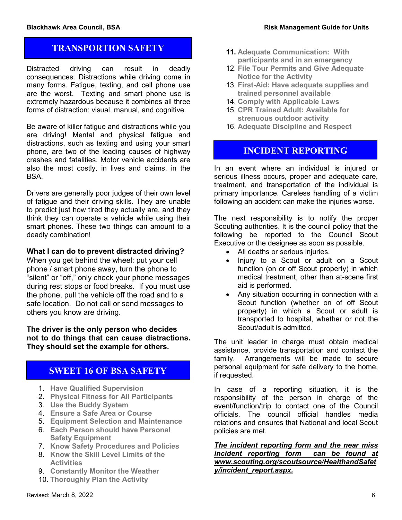#### TRANSPORTION SAFETY

Distracted driving can result in deadly consequences. Distractions while driving come in many forms. Fatigue, texting, and cell phone use are the worst. Texting and smart phone use is extremely hazardous because it combines all three forms of distraction: visual, manual, and cognitive.

Be aware of killer fatigue and distractions while you are driving! Mental and physical fatigue and distractions, such as texting and using your smart phone, are two of the leading causes of highway crashes and fatalities. Motor vehicle accidents are also the most costly, in lives and claims, in the BSA.

Drivers are generally poor judges of their own level of fatigue and their driving skills. They are unable to predict just how tired they actually are, and they think they can operate a vehicle while using their smart phones. These two things can amount to a deadly combination!

#### What I can do to prevent distracted driving?

When you get behind the wheel: put your cell phone / smart phone away, turn the phone to "silent" or "off," only check your phone messages during rest stops or food breaks. If you must use the phone, pull the vehicle off the road and to a safe location. Do not call or send messages to others you know are driving.

The driver is the only person who decides not to do things that can cause distractions. They should set the example for others.

#### SWEET 16 OF BSA SAFETY

- 1. Have Qualified Supervision
- 2. Physical Fitness for All Participants
- 3. Use the Buddy System
- 4. Ensure a Safe Area or Course
- 5. Equipment Selection and Maintenance
- 6. Each Person should have Personal Safety Equipment
- 7. Know Safety Procedures and Policies
- 8. Know the Skill Level Limits of the **Activities**
- 9. Constantly Monitor the Weather
- 10. Thoroughly Plan the Activity
- 11. Adequate Communication: With participants and in an emergency
- 12. File Tour Permits and Give Adequate Notice for the Activity
- 13. First-Aid: Have adequate supplies and trained personnel available
- 14. Comply with Applicable Laws
- 15. CPR Trained Adult: Available for strenuous outdoor activity
- 16. Adequate Discipline and Respect

#### INCIDENT REPORTING

In an event where an individual is injured or serious illness occurs, proper and adequate care, treatment, and transportation of the individual is primary importance. Careless handling of a victim following an accident can make the injuries worse.

The next responsibility is to notify the proper Scouting authorities. It is the council policy that the following be reported to the Council Scout Executive or the designee as soon as possible.

- All deaths or serious injuries.
- Injury to a Scout or adult on a Scout function (on or off Scout property) in which medical treatment, other than at-scene first aid is performed.
- Any situation occurring in connection with a Scout function (whether on of off Scout property) in which a Scout or adult is transported to hospital, whether or not the Scout/adult is admitted.

The unit leader in charge must obtain medical assistance, provide transportation and contact the family. Arrangements will be made to secure personal equipment for safe delivery to the home, if requested.

In case of a reporting situation, it is the responsibility of the person in charge of the event/function/trip to contact one of the Council officials. The council official handles media relations and ensures that National and local Scout policies are met.

The incident reporting form and the near miss incident reporting form can be found at www.scouting.org/scoutsource/HealthandSafet y/incident\_report.aspx.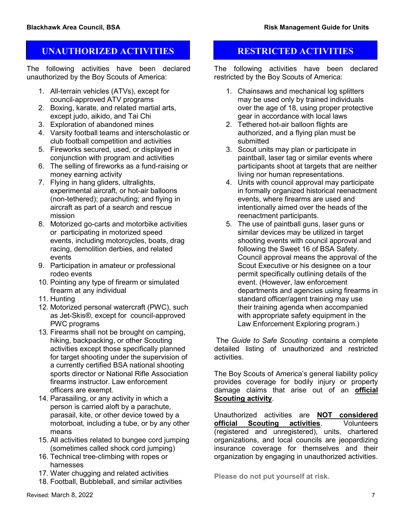#### UNAUTHORIZED ACTIVITIES RESTRICTED ACTIVITIES

The following activities have been declared unauthorized by the Boy Scouts of America:

- 1. All-terrain vehicles (ATVs), except for council-approved ATV programs
- 2. Boxing, karate, and related martial arts, except judo, aikido, and Tai Chi
- 3. Exploration of abandoned mines
- 4. Varsity football teams and interscholastic or club football competition and activities
- 5. Fireworks secured, used, or displayed in conjunction with program and activities
- 6. The selling of fireworks as a fund-raising or money earning activity
- 7. Flying in hang gliders, ultralights, experimental aircraft, or hot-air balloons (non-tethered); parachuting; and flying in aircraft as part of a search and rescue mission
- 8. Motorized go-carts and motorbike activities or participating in motorized speed events, including motorcycles, boats, drag racing, demolition derbies, and related events
- 9. Participation in amateur or professional rodeo events
- 10. Pointing any type of firearm or simulated firearm at any individual
- 11. Hunting
- 12. Motorized personal watercraft (PWC), such as Jet-Skis®, except for council-approved PWC programs
- 13. Firearms shall not be brought on camping, hiking, backpacking, or other Scouting activities except those specifically planned for target shooting under the supervision of a currently certified BSA national shooting sports director or National Rifle Association firearms instructor. Law enforcement officers are exempt.
- 14. Parasailing, or any activity in which a person is carried aloft by a parachute, parasail, kite, or other device towed by a motorboat, including a tube, or by any other means
- 15. All activities related to bungee cord jumping (sometimes called shock cord jumping)
- 16. Technical tree-climbing with ropes or harnesses
- 17. Water chugging and related activities
- 18. Football, Bubbleball, and similar activities

The following activities have been declared restricted by the Boy Scouts of America:

- 1. Chainsaws and mechanical log splitters may be used only by trained individuals over the age of 18, using proper protective gear in accordance with local laws
- 2. Tethered hot-air balloon flights are authorized, and a flying plan must be submitted
- 3. Scout units may plan or participate in paintball, laser tag or similar events where participants shoot at targets that are neither living nor human representations.
- 4. Units with council approval may participate in formally organized historical reenactment events, where firearms are used and intentionally aimed over the heads of the reenactment participants.
- 5. The use of paintball guns, laser guns or similar devices may be utilized in target shooting events with council approval and following the Sweet 16 of BSA Safety. Council approval means the approval of the Scout Executive or his designee on a tour permit specifically outlining details of the event. (However, law enforcement departments and agencies using firearms in standard officer/agent training may use their training agenda when accompanied with appropriate safety equipment in the Law Enforcement Exploring program.)

 The Guide to Safe Scouting contains a complete detailed listing of unauthorized and restricted activities.

The Boy Scouts of America's general liability policy provides coverage for bodily injury or property damage claims that arise out of an official Scouting activity.

Unauthorized activities are NOT considered official Scouting activities. Volunteers (registered and unregistered), units, chartered organizations, and local councils are jeopardizing insurance coverage for themselves and their organization by engaging in unauthorized activities.

Please do not put yourself at risk.